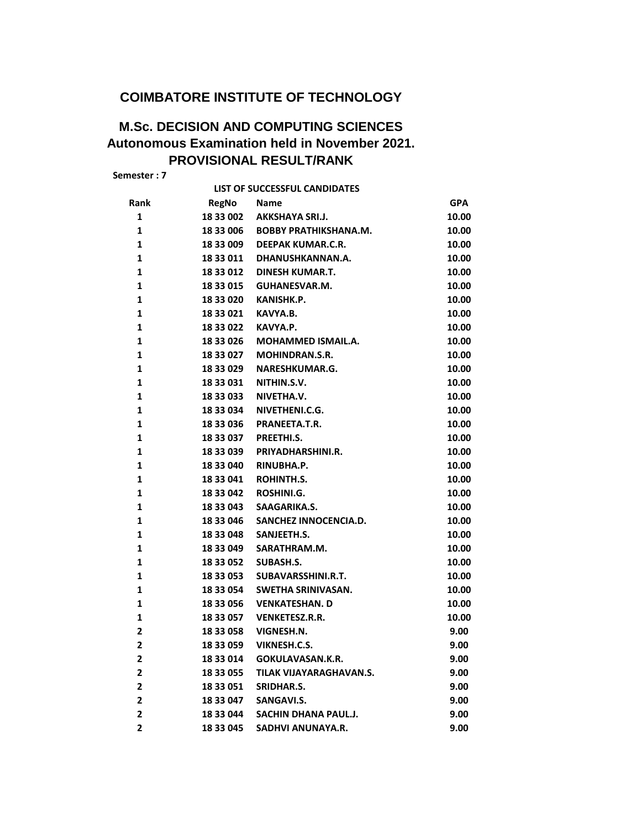## **COIMBATORE INSTITUTE OF TECHNOLOGY**

## **M.Sc. DECISION AND COMPUTING SCIENCES Autonomous Examination held in November 2021. PROVISIONAL RESULT/RANK**

**Semester : 7**

|                         |              | LIST OF SUCCESSFUL CANDIDATES |            |
|-------------------------|--------------|-------------------------------|------------|
| Rank                    | <b>RegNo</b> | <b>Name</b>                   | <b>GPA</b> |
| 1                       | 18 33 002    | <b>AKKSHAYA SRI.J.</b>        | 10.00      |
| 1                       | 18 33 006    | <b>BOBBY PRATHIKSHANA.M.</b>  | 10.00      |
| $\mathbf{1}$            |              | 18 33 009 DEEPAK KUMAR.C.R.   | 10.00      |
| $\mathbf{1}$            |              | 18 33 011 DHANUSHKANNAN.A.    | 10.00      |
| 1                       | 18 33 012    | DINESH KUMAR.T.               | 10.00      |
| 1                       | 18 33 015    | GUHANESVAR.M.                 | 10.00      |
| 1                       | 18 33 020    | KANISHK.P.                    | 10.00      |
| $\mathbf{1}$            | 18 33 021    | KAVYA.B.                      | 10.00      |
| $\mathbf{1}$            | 18 33 022    | KAVYA.P.                      | 10.00      |
| 1                       | 18 33 026    | <b>MOHAMMED ISMAIL.A.</b>     | 10.00      |
| 1                       | 18 33 027    | <b>MOHINDRAN.S.R.</b>         | 10.00      |
| 1                       | 18 33 029    | NARESHKUMAR.G.                | 10.00      |
| $\mathbf{1}$            | 18 33 031    | NITHIN.S.V.                   | 10.00      |
| $\mathbf{1}$            | 18 33 033    | NIVETHA.V.                    | 10.00      |
| 1                       | 18 33 034    | NIVETHENI.C.G.                | 10.00      |
| 1                       | 18 33 036    | PRANEETA.T.R.                 | 10.00      |
| 1                       | 18 33 037    | PREETHI.S.                    | 10.00      |
| $\mathbf{1}$            | 1833039      | PRIYADHARSHINI.R.             | 10.00      |
| $\mathbf{1}$            | 18 33 040    | RINUBHA.P.                    | 10.00      |
| 1                       | 18 33 041    | ROHINTH.S.                    | 10.00      |
| 1                       | 18 33 042    | ROSHINI.G.                    | 10.00      |
| 1                       | 18 33 043    | SAAGARIKA.S.                  | 10.00      |
| $\mathbf{1}$            | 18 33 046    | SANCHEZ INNOCENCIA.D.         | 10.00      |
| $\mathbf{1}$            | 18 33 048    | SANJEETH.S.                   | 10.00      |
| 1                       | 18 33 049    | SARATHRAM.M.                  | 10.00      |
| 1                       | 18 33 052    | SUBASH.S.                     | 10.00      |
| 1                       | 18 33 053    | SUBAVARSSHINI.R.T.            | 10.00      |
| $\mathbf{1}$            | 18 33 054    | SWETHA SRINIVASAN.            | 10.00      |
| $\mathbf{1}$            | 18 33 056    | <b>VENKATESHAN. D</b>         | 10.00      |
| 1                       | 18 33 057    | <b>VENKETESZ.R.R.</b>         | 10.00      |
| 2                       | 1833058      | VIGNESH.N.                    | 9.00       |
| $\overline{2}$          | 18 33 059    | VIKNESH.C.S.                  | 9.00       |
| 2                       | 18 33 014    | GOKULAVASAN.K.R.              | 9.00       |
| $\mathbf{2}$            | 18 33 055    | TILAK VIJAYARAGHAVAN.S.       | 9.00       |
| $\mathbf{2}$            | 18 33 051    | <b>SRIDHAR.S.</b>             | 9.00       |
| $\mathbf{2}$            | 18 33 047    | SANGAVI.S.                    | 9.00       |
| $\mathbf{2}$            | 18 33 044    | SACHIN DHANA PAUL.J.          | 9.00       |
| $\overline{\mathbf{2}}$ | 18 33 045    | <b>SADHVI ANUNAYA.R.</b>      | 9.00       |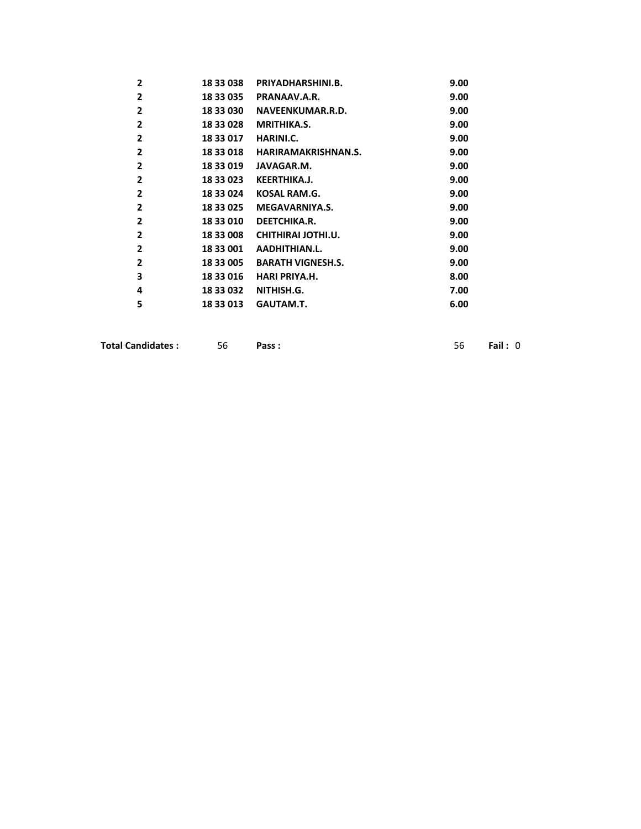| 18 33 038 | PRIYADHARSHINI.B.        | 9.00 |
|-----------|--------------------------|------|
| 18 33 035 | PRANAAV.A.R.             | 9.00 |
| 18 33 030 | NAVEENKUMAR.R.D.         | 9.00 |
| 18 33 028 | <b>MRITHIKA.S.</b>       | 9.00 |
| 18 33 017 | HARINI.C.                | 9.00 |
| 18 33 018 | HARIRAMAKRISHNAN.S.      | 9.00 |
| 18 33 019 | JAVAGAR.M.               | 9.00 |
| 18 33 023 | <b>KEERTHIKA.J.</b>      | 9.00 |
| 18 33 024 | KOSAL RAM.G.             | 9.00 |
| 18 33 025 | MEGAVARNIYA.S.           | 9.00 |
| 18 33 010 | DEETCHIKA.R.             | 9.00 |
| 18 33 008 | CHITHIRAI JOTHI.U.       | 9.00 |
| 18 33 001 | AADHITHIAN.L.            | 9.00 |
| 18 33 005 | <b>BARATH VIGNESH.S.</b> | 9.00 |
| 18 33 016 | HARI PRIYA.H.            | 8.00 |
| 18 33 032 | NITHISH.G.               | 7.00 |
| 18 33 013 | GAUTAM.T.                | 6.00 |
|           |                          |      |

| <b>Total Candidates :</b> | Pass: |  | Fail: 0 |  |
|---------------------------|-------|--|---------|--|
|---------------------------|-------|--|---------|--|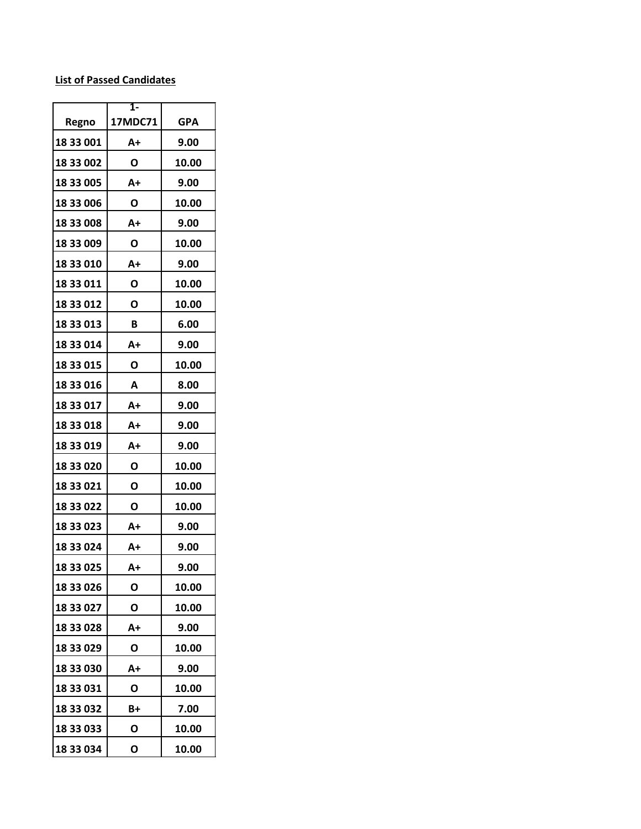## **List of Passed Candidates**

| Regno     | 1-<br>17MDC71 | <b>GPA</b> |
|-----------|---------------|------------|
| 18 33 001 | A+            | 9.00       |
| 18 33 002 | O             | 10.00      |
| 18 33 005 | $A+$          | 9.00       |
| 18 33 006 | O             | 10.00      |
| 18 33 008 | A+            | 9.00       |
| 18 33 009 | Ο             | 10.00      |
| 18 33 010 | A+            | 9.00       |
| 18 33 011 | Ο             | 10.00      |
| 18 33 012 | О             | 10.00      |
| 18 33 013 | B             | 6.00       |
| 18 33 014 | A+            | 9.00       |
| 18 33 015 | Ο             | 10.00      |
| 18 33 016 | A             | 8.00       |
| 18 33 017 | A+            | 9.00       |
| 18 33 018 | A+            | 9.00       |
| 18 33 019 | A+            | 9.00       |
| 18 33 020 | O             | 10.00      |
| 18 33 021 | Ο             | 10.00      |
| 18 33 022 | Ο             | 10.00      |
| 18 33 023 | A+            | 9.00       |
| 18 33 024 | A+            | 9.00       |
| 18 33 025 | A+            | 9.00       |
| 18 33 026 | Ο             | 10.00      |
| 18 33 027 | Ο             | 10.00      |
| 18 33 028 | A+            | 9.00       |
| 18 33 029 | O             | 10.00      |
| 18 33 030 | A+            | 9.00       |
| 18 33 031 | Ο             | 10.00      |
| 18 33 032 | B+            | 7.00       |
| 18 33 033 | О             | 10.00      |
| 18 33 034 | Ο             | 10.00      |